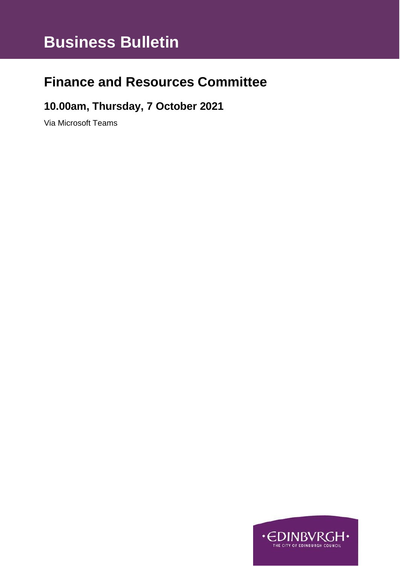# **Business Bulletin**

# **Finance and Resources Committee**

### **10.00am, Thursday, 7 October 2021**

Via Microsoft Teams

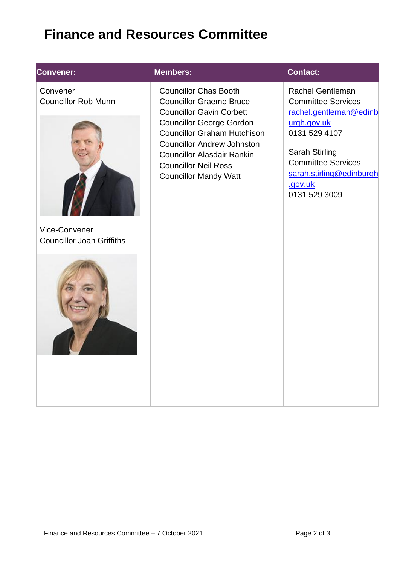# **Finance and Resources Committee**

### **Convener:**

**Convener:** Convener Councillor Rob Munn



Vice-Convener Councillor Joan Griffiths



### **Members: Contact:**

Councillor Chas Booth Councillor Graeme Bruce Councillor Gavin Corbett Councillor George Gordon Councillor Graham Hutchison Councillor Andrew Johnston Councillor Alasdair Rankin Councillor Neil Ross Councillor Mandy Watt

[Rachel](mailto:Blair.Ritchie@edinburgh.gov.uk) Gentleman Committee Services [rachel.gentleman@edinb](mailto:rachel.gentleman@edinburgh.gov.uk) [urgh.gov.uk](mailto:rachel.gentleman@edinburgh.gov.uk) 0131 529 4107

Sarah Stirling Committee Services [sarah.stirling@edinburgh](mailto:sarah.stirling@edinburgh.gov.uk) [.gov.uk](mailto:sarah.stirling@edinburgh.gov.uk) 0131 529 3009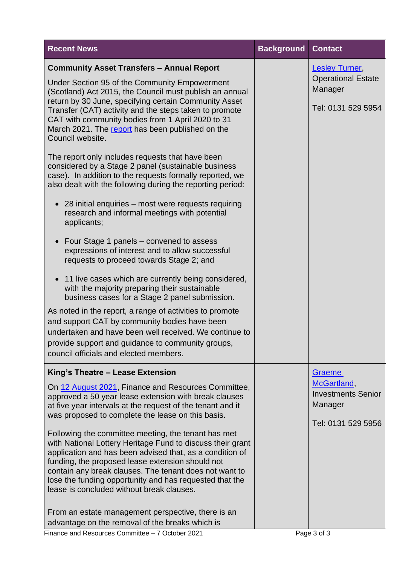| <b>Recent News</b>                                                                                                                                                                                                                                                                                                                                                                                                                                                                                                                                                                                                                                                                                                                                                                                                                                                                                                                                                                                                                                                                                                                                                                                                                                                                                                                                                | <b>Background</b> | <b>Contact</b>                                                                             |
|-------------------------------------------------------------------------------------------------------------------------------------------------------------------------------------------------------------------------------------------------------------------------------------------------------------------------------------------------------------------------------------------------------------------------------------------------------------------------------------------------------------------------------------------------------------------------------------------------------------------------------------------------------------------------------------------------------------------------------------------------------------------------------------------------------------------------------------------------------------------------------------------------------------------------------------------------------------------------------------------------------------------------------------------------------------------------------------------------------------------------------------------------------------------------------------------------------------------------------------------------------------------------------------------------------------------------------------------------------------------|-------------------|--------------------------------------------------------------------------------------------|
| <b>Community Asset Transfers - Annual Report</b><br>Under Section 95 of the Community Empowerment<br>(Scotland) Act 2015, the Council must publish an annual<br>return by 30 June, specifying certain Community Asset<br>Transfer (CAT) activity and the steps taken to promote<br>CAT with community bodies from 1 April 2020 to 31<br>March 2021. The report has been published on the<br>Council website.<br>The report only includes requests that have been<br>considered by a Stage 2 panel (sustainable business<br>case). In addition to the requests formally reported, we<br>also dealt with the following during the reporting period:<br>$\bullet$ 28 initial enquiries – most were requests requiring<br>research and informal meetings with potential<br>applicants;<br>• Four Stage 1 panels – convened to assess<br>expressions of interest and to allow successful<br>requests to proceed towards Stage 2; and<br>• 11 live cases which are currently being considered,<br>with the majority preparing their sustainable<br>business cases for a Stage 2 panel submission.<br>As noted in the report, a range of activities to promote<br>and support CAT by community bodies have been<br>undertaken and have been well received. We continue to<br>provide support and guidance to community groups,<br>council officials and elected members. |                   | <b>Lesley Turner,</b><br><b>Operational Estate</b><br>Manager<br>Tel: 0131 529 5954        |
| King's Theatre - Lease Extension<br>On 12 August 2021, Finance and Resources Committee,<br>approved a 50 year lease extension with break clauses<br>at five year intervals at the request of the tenant and it<br>was proposed to complete the lease on this basis.<br>Following the committee meeting, the tenant has met<br>with National Lottery Heritage Fund to discuss their grant<br>application and has been advised that, as a condition of<br>funding, the proposed lease extension should not<br>contain any break clauses. The tenant does not want to<br>lose the funding opportunity and has requested that the<br>lease is concluded without break clauses.<br>From an estate management perspective, there is an<br>advantage on the removal of the breaks which is                                                                                                                                                                                                                                                                                                                                                                                                                                                                                                                                                                               |                   | <b>Graeme</b><br>McGartland,<br><b>Investments Senior</b><br>Manager<br>Tel: 0131 529 5956 |